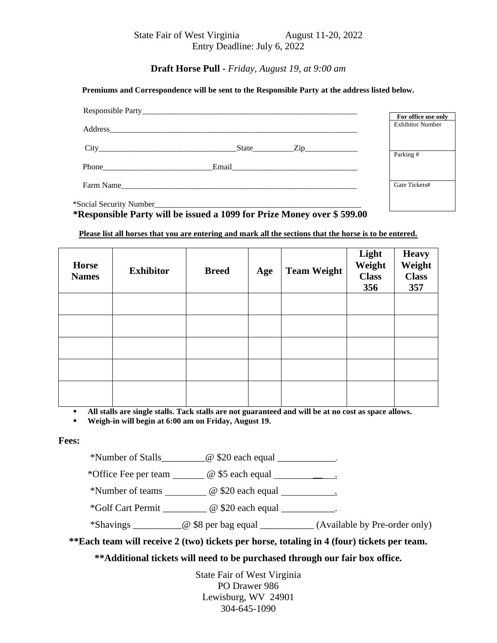State Fair of West Virginia August 11-20, 2022 Entry Deadline: July 6, 2022

**Draft Horse Pull -** *Friday, August 19, at 9:00 am*

## **Premiums and Correspondence will be sent to the Responsible Party at the address listed below.**

|                                                          |           | For office use only     |
|----------------------------------------------------------|-----------|-------------------------|
|                                                          |           | <b>Exhibitor Number</b> |
|                                                          |           |                         |
|                                                          |           | Parking #               |
| Phone $\frac{1}{\sqrt{1-\frac{1}{2}} \cdot \frac{1}{2}}$ |           |                         |
|                                                          | Farm Name | Gate Tickets#           |

**\*Responsible Party will be issued a 1099 for Prize Money over \$ 599.00**

**Please list all horses that you are entering and mark all the sections that the horse is to be entered.**

| <b>Horse</b><br><b>Names</b> | <b>Exhibitor</b> | <b>Breed</b> | Age | <b>Team Weight</b> | Light<br>Weight<br><b>Class</b><br>356 | <b>Heavy</b><br>Weight<br><b>Class</b><br>357 |
|------------------------------|------------------|--------------|-----|--------------------|----------------------------------------|-----------------------------------------------|
|                              |                  |              |     |                    |                                        |                                               |
|                              |                  |              |     |                    |                                        |                                               |
|                              |                  |              |     |                    |                                        |                                               |
|                              |                  |              |     |                    |                                        |                                               |
|                              |                  |              |     |                    |                                        |                                               |

▪ **All stalls are single stalls. Tack stalls are not guaranteed and will be at no cost as space allows.**

▪ **Weigh-in will begin at 6:00 am on Friday, August 19.**

## **Fees:**

\*Number of Stalls\_\_\_\_\_\_\_\_\_@ \$20 each equal \_\_\_\_\_\_\_\_\_\_\_\_.

\*Office Fee per team  $\qquad \qquad \textcircled{g}$  \$5 each equal  $\qquad \qquad \textcircled{g}$ 

\*Number of teams \_\_\_\_\_\_\_\_\_ @ \$20 each equal \_\_\_\_\_\_\_\_\_\_\_.

\*Golf Cart Permit \_\_\_\_\_\_\_\_\_ @ \$20 each equal \_\_\_\_\_\_\_\_\_\_\_.

\*Shavings \_\_\_\_\_\_\_\_\_\_@ \$8 per bag equal \_\_\_\_\_\_\_\_\_\_\_ (Available by Pre-order only)

**\*\*Each team will receive 2 (two) tickets per horse, totaling in 4 (four) tickets per team.**

**\*\*Additional tickets will need to be purchased through our fair box office.**

State Fair of West Virginia PO Drawer 986 Lewisburg, WV 24901 304-645-1090